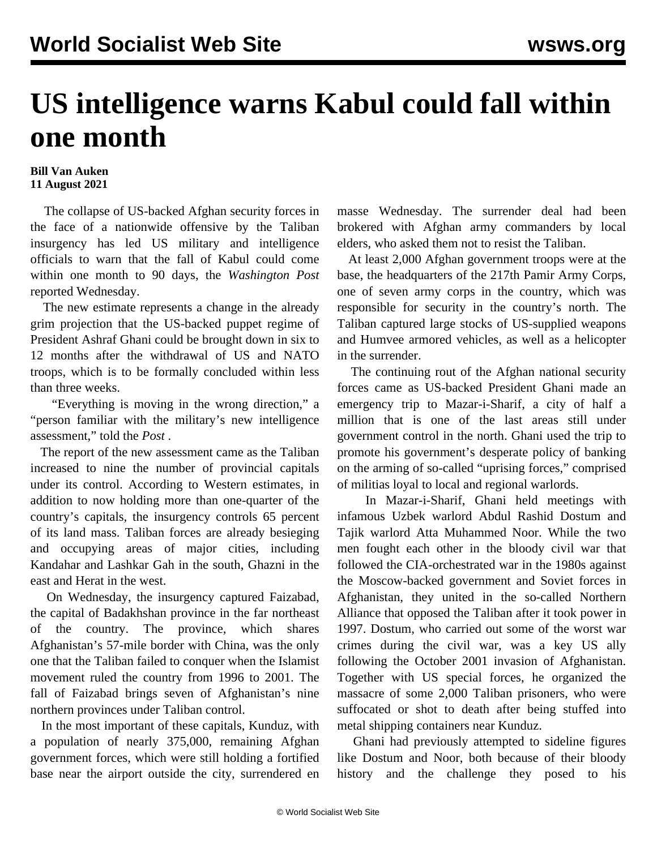## **US intelligence warns Kabul could fall within one month**

## **Bill Van Auken 11 August 2021**

 The collapse of US-backed Afghan security forces in the face of a nationwide offensive by the Taliban insurgency has led US military and intelligence officials to warn that the fall of Kabul could come within one month to 90 days, the *Washington Post* reported Wednesday.

 The new estimate represents a change in the already grim projection that the US-backed puppet regime of President Ashraf Ghani could be brought down in six to 12 months after the withdrawal of US and NATO troops, which is to be formally concluded within less than three weeks.

 "Everything is moving in the wrong direction," a "person familiar with the military's new intelligence assessment," told the *Post* .

 The report of the new assessment came as the Taliban increased to nine the number of provincial capitals under its control. According to Western estimates, in addition to now holding more than one-quarter of the country's capitals, the insurgency controls 65 percent of its land mass. Taliban forces are already besieging and occupying areas of major cities, including Kandahar and Lashkar Gah in the south, Ghazni in the east and Herat in the west.

 On Wednesday, the insurgency captured Faizabad, the capital of Badakhshan province in the far northeast of the country. The province, which shares Afghanistan's 57-mile border with China, was the only one that the Taliban failed to conquer when the Islamist movement ruled the country from 1996 to 2001. The fall of Faizabad brings seven of Afghanistan's nine northern provinces under Taliban control.

 In the most important of these capitals, Kunduz, with a population of nearly 375,000, remaining Afghan government forces, which were still holding a fortified base near the airport outside the city, surrendered en

masse Wednesday. The surrender deal had been brokered with Afghan army commanders by local elders, who asked them not to resist the Taliban.

 At least 2,000 Afghan government troops were at the base, the headquarters of the 217th Pamir Army Corps, one of seven army corps in the country, which was responsible for security in the country's north. The Taliban captured large stocks of US-supplied weapons and Humvee armored vehicles, as well as a helicopter in the surrender.

 The continuing rout of the Afghan national security forces came as US-backed President Ghani made an emergency trip to Mazar-i-Sharif, a city of half a million that is one of the last areas still under government control in the north. Ghani used the trip to promote his government's desperate policy of banking on the arming of so-called "uprising forces," comprised of militias loyal to local and regional warlords.

 In Mazar-i-Sharif, Ghani held meetings with infamous Uzbek warlord Abdul Rashid Dostum and Tajik warlord Atta Muhammed Noor. While the two men fought each other in the bloody civil war that followed the CIA-orchestrated war in the 1980s against the Moscow-backed government and Soviet forces in Afghanistan, they united in the so-called Northern Alliance that opposed the Taliban after it took power in 1997. Dostum, who carried out some of the worst war crimes during the civil war, was a key US ally following the October 2001 invasion of Afghanistan. Together with US special forces, he organized the massacre of some 2,000 Taliban prisoners, who were suffocated or shot to death after being stuffed into metal shipping containers near Kunduz.

 Ghani had previously attempted to sideline figures like Dostum and Noor, both because of their bloody history and the challenge they posed to his